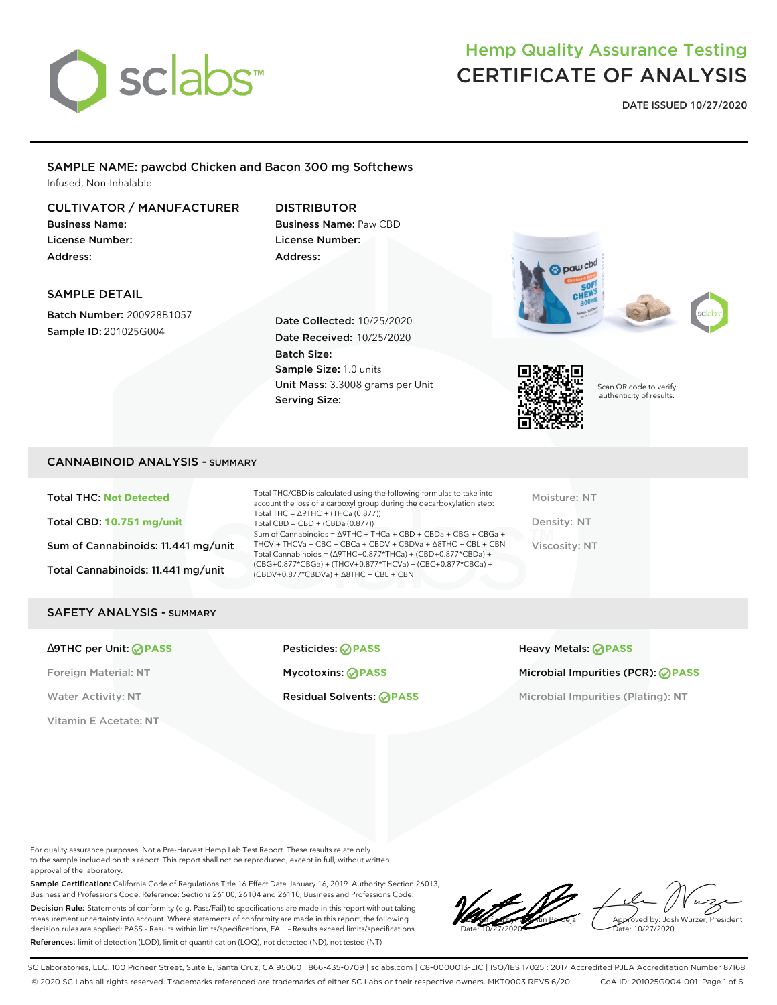

**DATE ISSUED 10/27/2020**

#### SAMPLE NAME: pawcbd Chicken and Bacon 300 mg Softchews Infused, Non-Inhalable

#### CULTIVATOR / MANUFACTURER

Business Name: License Number: Address:

### DISTRIBUTOR Business Name: Paw CBD License Number: Address:

#### SAMPLE DETAIL

Batch Number: 200928B1057 Sample ID: 201025G004

Date Collected: 10/25/2020 Date Received: 10/25/2020 Batch Size: Sample Size: 1.0 units Unit Mass: 3.3008 grams per Unit Serving Size:





Scan QR code to verify authenticity of results.

#### CANNABINOID ANALYSIS - SUMMARY

Total THC: **Not Detected** Total CBD: **10.751 mg/unit** Sum of Cannabinoids: 11.441 mg/unit Total Cannabinoids: 11.441 mg/unit

Total THC/CBD is calculated using the following formulas to take into account the loss of a carboxyl group during the decarboxylation step: Total THC = ∆9THC + (THCa (0.877)) Total CBD = CBD + (CBDa (0.877)) Sum of Cannabinoids = ∆9THC + THCa + CBD + CBDa + CBG + CBGa + THCV + THCVa + CBC + CBCa + CBDV + CBDVa + ∆8THC + CBL + CBN Total Cannabinoids = (∆9THC+0.877\*THCa) + (CBD+0.877\*CBDa) + (CBG+0.877\*CBGa) + (THCV+0.877\*THCVa) + (CBC+0.877\*CBCa) + (CBDV+0.877\*CBDVa) + ∆8THC + CBL + CBN

Moisture: NT Density: NT Viscosity: NT

#### SAFETY ANALYSIS - SUMMARY

Vitamin E Acetate: **NT**

∆9THC per Unit: **PASS** Pesticides: **PASS** Heavy Metals: **PASS**

Foreign Material: **NT** Mycotoxins: **PASS** Microbial Impurities (PCR): **PASS**

Water Activity: NT **Residual Solvents:** *PASS* Microbial Impurities (Plating): NT

For quality assurance purposes. Not a Pre-Harvest Hemp Lab Test Report. These results relate only to the sample included on this report. This report shall not be reproduced, except in full, without written approval of the laboratory.

Sample Certification: California Code of Regulations Title 16 Effect Date January 16, 2019. Authority: Section 26013, Business and Professions Code. Reference: Sections 26100, 26104 and 26110, Business and Professions Code. Decision Rule: Statements of conformity (e.g. Pass/Fail) to specifications are made in this report without taking measurement uncertainty into account. Where statements of conformity are made in this report, the following decision rules are applied: PASS – Results within limits/specifications, FAIL – Results exceed limits/specifications. References: limit of detection (LOD), limit of quantification (LOQ), not detected (ND), not tested (NT)

LoC verification vantin Berdeja Date: 10/27/2020

Approved by: Josh Wurzer, President ate: 10/27/2020

SC Laboratories, LLC. 100 Pioneer Street, Suite E, Santa Cruz, CA 95060 | 866-435-0709 | sclabs.com | C8-0000013-LIC | ISO/IES 17025 : 2017 Accredited PJLA Accreditation Number 87168 © 2020 SC Labs all rights reserved. Trademarks referenced are trademarks of either SC Labs or their respective owners. MKT0003 REV5 6/20 CoA ID: 201025G004-001 Page 1 of 6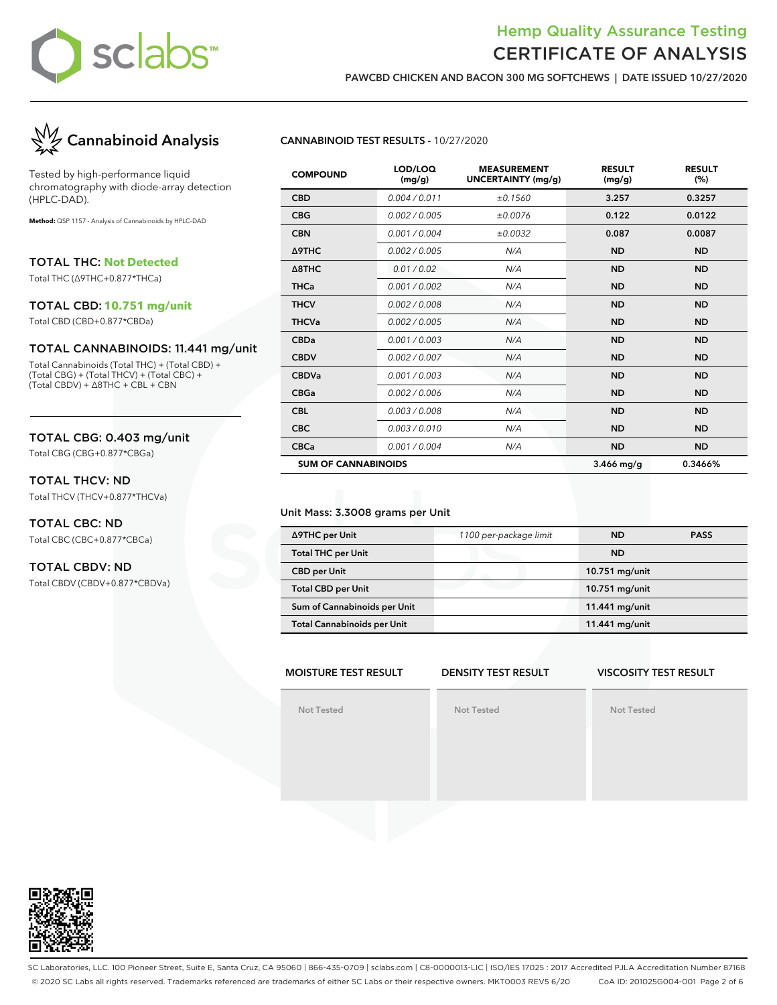

**PAWCBD CHICKEN AND BACON 300 MG SOFTCHEWS | DATE ISSUED 10/27/2020**



Tested by high-performance liquid chromatography with diode-array detection (HPLC-DAD).

**Method:** QSP 1157 - Analysis of Cannabinoids by HPLC-DAD

TOTAL THC: **Not Detected**

Total THC (∆9THC+0.877\*THCa)

#### TOTAL CBD: **10.751 mg/unit**

Total CBD (CBD+0.877\*CBDa)

#### TOTAL CANNABINOIDS: 11.441 mg/unit

Total Cannabinoids (Total THC) + (Total CBD) + (Total CBG) + (Total THCV) + (Total CBC) + (Total CBDV) + ∆8THC + CBL + CBN

#### TOTAL CBG: 0.403 mg/unit

Total CBG (CBG+0.877\*CBGa)

#### TOTAL THCV: ND

Total THCV (THCV+0.877\*THCVa)

#### TOTAL CBC: ND Total CBC (CBC+0.877\*CBCa)

### TOTAL CBDV: ND

Total CBDV (CBDV+0.877\*CBDVa)

#### **CANNABINOID TEST RESULTS -** 10/27/2020

| <b>COMPOUND</b>            | LOD/LOQ<br>(mg/g) | <b>MEASUREMENT</b><br><b>UNCERTAINTY (mg/g)</b> | <b>RESULT</b><br>(mg/g) | <b>RESULT</b><br>(%) |
|----------------------------|-------------------|-------------------------------------------------|-------------------------|----------------------|
| <b>CBD</b>                 | 0.004 / 0.011     | ±0.1560                                         | 3.257                   | 0.3257               |
| <b>CBG</b>                 | 0.002 / 0.005     | ±0.0076                                         | 0.122                   | 0.0122               |
| <b>CBN</b>                 | 0.001 / 0.004     | ±0.0032                                         | 0.087                   | 0.0087               |
| Δ9THC                      | 0.002 / 0.005     | N/A                                             | <b>ND</b>               | <b>ND</b>            |
| $\triangle$ 8THC           | 0.01 / 0.02       | N/A                                             | <b>ND</b>               | <b>ND</b>            |
| <b>THCa</b>                | 0.001 / 0.002     | N/A                                             | <b>ND</b>               | <b>ND</b>            |
| <b>THCV</b>                | 0.002 / 0.008     | N/A                                             | <b>ND</b>               | <b>ND</b>            |
| <b>THCVa</b>               | 0.002 / 0.005     | N/A                                             | <b>ND</b>               | <b>ND</b>            |
| <b>CBDa</b>                | 0.001 / 0.003     | N/A                                             | <b>ND</b>               | <b>ND</b>            |
| <b>CBDV</b>                | 0.002 / 0.007     | N/A                                             | <b>ND</b>               | <b>ND</b>            |
| <b>CBDVa</b>               | 0.001 / 0.003     | N/A                                             | <b>ND</b>               | <b>ND</b>            |
| <b>CBGa</b>                | 0.002 / 0.006     | N/A                                             | <b>ND</b>               | <b>ND</b>            |
| <b>CBL</b>                 | 0.003 / 0.008     | N/A                                             | <b>ND</b>               | <b>ND</b>            |
| <b>CBC</b>                 | 0.003/0.010       | N/A                                             | <b>ND</b>               | <b>ND</b>            |
| <b>CBCa</b>                | 0.001 / 0.004     | N/A                                             | <b>ND</b>               | <b>ND</b>            |
| <b>SUM OF CANNABINOIDS</b> |                   |                                                 | 3.466 mg/g              | 0.3466%              |

#### Unit Mass: 3.3008 grams per Unit

| ∆9THC per Unit                     | 1100 per-package limit | <b>ND</b>      | <b>PASS</b> |
|------------------------------------|------------------------|----------------|-------------|
| <b>Total THC per Unit</b>          |                        | <b>ND</b>      |             |
| <b>CBD</b> per Unit                |                        | 10.751 mg/unit |             |
| <b>Total CBD per Unit</b>          |                        | 10.751 mg/unit |             |
| Sum of Cannabinoids per Unit       |                        | 11.441 mg/unit |             |
| <b>Total Cannabinoids per Unit</b> |                        | 11.441 mg/unit |             |

#### **MOISTURE TEST RESULT DENSITY TEST RESULT**

#### **VISCOSITY TEST RESULT**

**Not Tested**

**Not Tested**

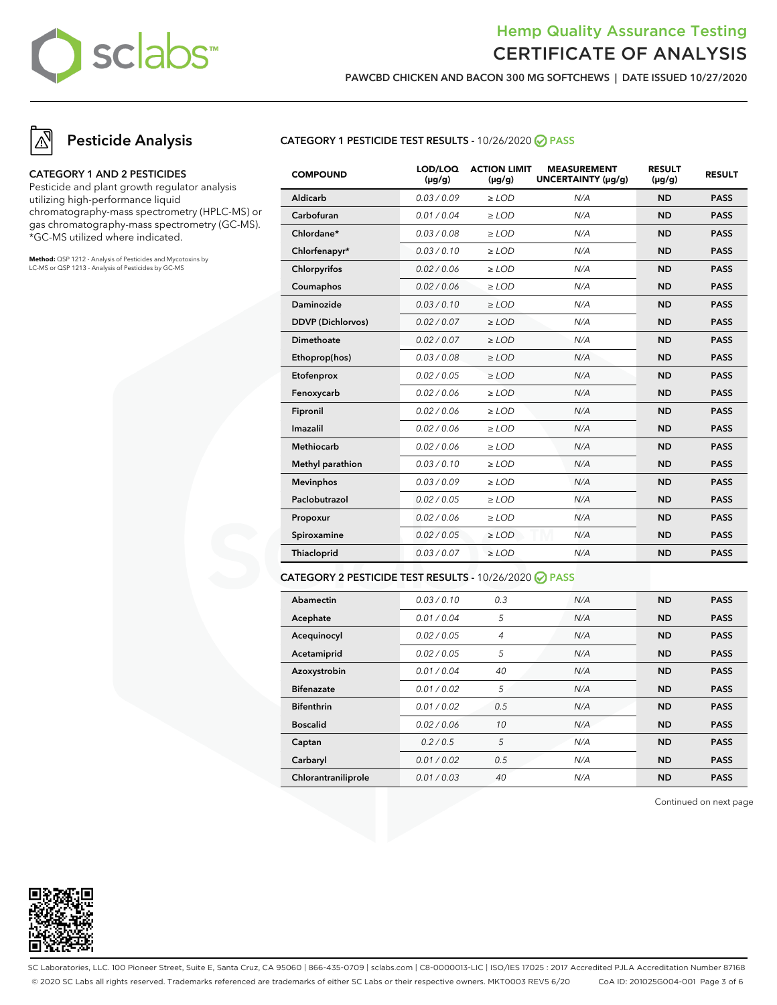

**PAWCBD CHICKEN AND BACON 300 MG SOFTCHEWS | DATE ISSUED 10/27/2020**

### **Pesticide Analysis**

#### **CATEGORY 1 AND 2 PESTICIDES**

Pesticide and plant growth regulator analysis utilizing high-performance liquid chromatography-mass spectrometry (HPLC-MS) or gas chromatography-mass spectrometry (GC-MS). \*GC-MS utilized where indicated.

**Method:** QSP 1212 - Analysis of Pesticides and Mycotoxins by LC-MS or QSP 1213 - Analysis of Pesticides by GC-MS

#### **CATEGORY 1 PESTICIDE TEST RESULTS -** 10/26/2020 **PASS**

| <b>COMPOUND</b>          | LOD/LOQ<br>$(\mu g/g)$ | <b>ACTION LIMIT</b><br>$(\mu q/q)$ | <b>MEASUREMENT</b><br>UNCERTAINTY (µg/g) | <b>RESULT</b><br>$(\mu g/g)$ | <b>RESULT</b> |
|--------------------------|------------------------|------------------------------------|------------------------------------------|------------------------------|---------------|
| Aldicarb                 | 0.03/0.09              | $>$ LOD                            | N/A                                      | <b>ND</b>                    | <b>PASS</b>   |
| Carbofuran               | 0.01 / 0.04            | $\ge$ LOD                          | N/A                                      | <b>ND</b>                    | <b>PASS</b>   |
| Chlordane*               | 0.03 / 0.08            | $\ge$ LOD                          | N/A                                      | <b>ND</b>                    | <b>PASS</b>   |
| Chlorfenapyr*            | 0.03/0.10              | $>$ LOD                            | N/A                                      | <b>ND</b>                    | <b>PASS</b>   |
| Chlorpyrifos             | 0.02 / 0.06            | $\ge$ LOD                          | N/A                                      | <b>ND</b>                    | <b>PASS</b>   |
| Coumaphos                | 0.02 / 0.06            | $\ge$ LOD                          | N/A                                      | <b>ND</b>                    | <b>PASS</b>   |
| Daminozide               | 0.03/0.10              | $\ge$ LOD                          | N/A                                      | <b>ND</b>                    | <b>PASS</b>   |
| <b>DDVP</b> (Dichlorvos) | 0.02 / 0.07            | $>$ LOD                            | N/A                                      | <b>ND</b>                    | <b>PASS</b>   |
| <b>Dimethoate</b>        | 0.02 / 0.07            | $\ge$ LOD                          | N/A                                      | <b>ND</b>                    | <b>PASS</b>   |
| Ethoprop(hos)            | 0.03 / 0.08            | $\ge$ LOD                          | N/A                                      | <b>ND</b>                    | <b>PASS</b>   |
| Etofenprox               | 0.02 / 0.05            | $\ge$ LOD                          | N/A                                      | <b>ND</b>                    | <b>PASS</b>   |
| Fenoxycarb               | 0.02 / 0.06            | $\ge$ LOD                          | N/A                                      | <b>ND</b>                    | <b>PASS</b>   |
| Fipronil                 | 0.02 / 0.06            | $\ge$ LOD                          | N/A                                      | <b>ND</b>                    | <b>PASS</b>   |
| Imazalil                 | 0.02 / 0.06            | $\ge$ LOD                          | N/A                                      | <b>ND</b>                    | <b>PASS</b>   |
| <b>Methiocarb</b>        | 0.02 / 0.06            | $\ge$ LOD                          | N/A                                      | <b>ND</b>                    | <b>PASS</b>   |
| Methyl parathion         | 0.03 / 0.10            | $\ge$ LOD                          | N/A                                      | <b>ND</b>                    | <b>PASS</b>   |
| <b>Mevinphos</b>         | 0.03/0.09              | $\ge$ LOD                          | N/A                                      | <b>ND</b>                    | <b>PASS</b>   |
| Paclobutrazol            | 0.02 / 0.05            | $\ge$ LOD                          | N/A                                      | <b>ND</b>                    | <b>PASS</b>   |
| Propoxur                 | 0.02 / 0.06            | $\ge$ LOD                          | N/A                                      | <b>ND</b>                    | <b>PASS</b>   |
| Spiroxamine              | 0.02 / 0.05            | $\ge$ LOD                          | N/A                                      | <b>ND</b>                    | <b>PASS</b>   |
| Thiacloprid              | 0.03 / 0.07            | $\ge$ LOD                          | N/A                                      | <b>ND</b>                    | <b>PASS</b>   |
|                          |                        |                                    |                                          |                              |               |

#### **CATEGORY 2 PESTICIDE TEST RESULTS -** 10/26/2020 **PASS**

| Abamectin           | 0.03/0.10   | 0.3 | N/A | <b>ND</b> | <b>PASS</b> |
|---------------------|-------------|-----|-----|-----------|-------------|
| Acephate            | 0.01/0.04   | 5   | N/A | <b>ND</b> | <b>PASS</b> |
| Acequinocyl         | 0.02 / 0.05 | 4   | N/A | <b>ND</b> | <b>PASS</b> |
| Acetamiprid         | 0.02 / 0.05 | 5   | N/A | <b>ND</b> | <b>PASS</b> |
| Azoxystrobin        | 0.01 / 0.04 | 40  | N/A | <b>ND</b> | <b>PASS</b> |
| <b>Bifenazate</b>   | 0.01 / 0.02 | 5   | N/A | <b>ND</b> | <b>PASS</b> |
| <b>Bifenthrin</b>   | 0.01 / 0.02 | 0.5 | N/A | <b>ND</b> | <b>PASS</b> |
| <b>Boscalid</b>     | 0.02 / 0.06 | 10  | N/A | <b>ND</b> | <b>PASS</b> |
| Captan              | 0.2/0.5     | 5   | N/A | <b>ND</b> | <b>PASS</b> |
| Carbaryl            | 0.01/0.02   | 0.5 | N/A | <b>ND</b> | <b>PASS</b> |
| Chlorantraniliprole | 0.01/0.03   | 40  | N/A | <b>ND</b> | <b>PASS</b> |

Continued on next page



SC Laboratories, LLC. 100 Pioneer Street, Suite E, Santa Cruz, CA 95060 | 866-435-0709 | sclabs.com | C8-0000013-LIC | ISO/IES 17025 : 2017 Accredited PJLA Accreditation Number 87168 © 2020 SC Labs all rights reserved. Trademarks referenced are trademarks of either SC Labs or their respective owners. MKT0003 REV5 6/20 CoA ID: 201025G004-001 Page 3 of 6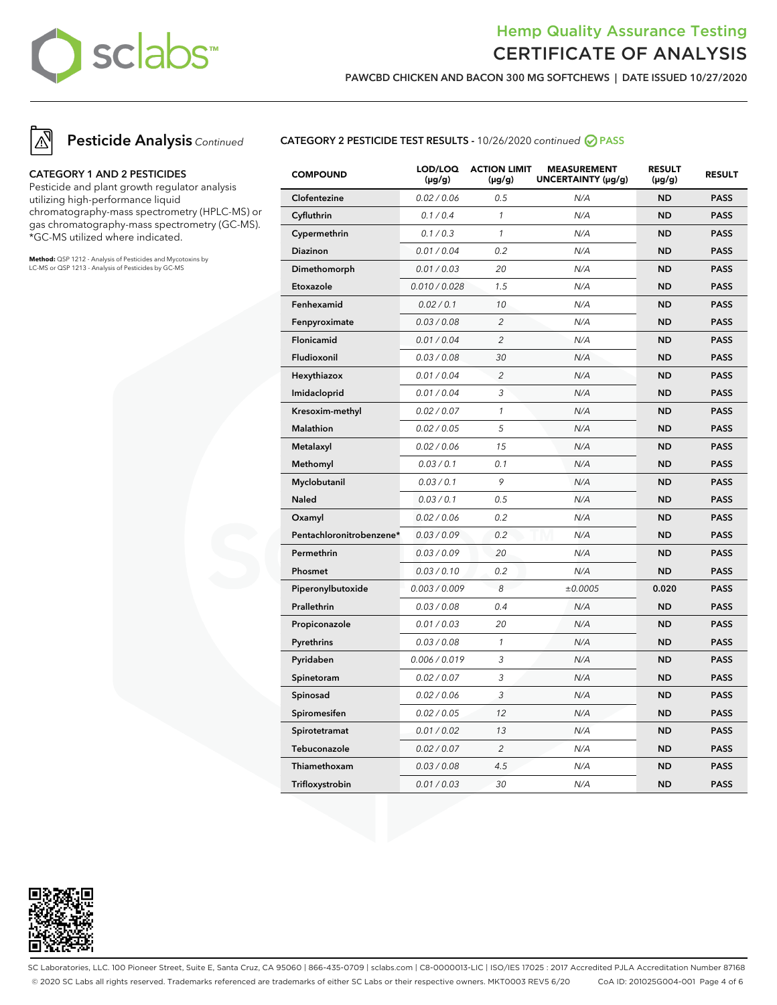

**PAWCBD CHICKEN AND BACON 300 MG SOFTCHEWS | DATE ISSUED 10/27/2020**



**Pesticide Analysis** Continued

#### **CATEGORY 1 AND 2 PESTICIDES**

Pesticide and plant growth regulator analysis utilizing high-performance liquid chromatography-mass spectrometry (HPLC-MS) or gas chromatography-mass spectrometry (GC-MS). \*GC-MS utilized where indicated.

**Method:** QSP 1212 - Analysis of Pesticides and Mycotoxins by LC-MS or QSP 1213 - Analysis of Pesticides by GC-MS

#### **CATEGORY 2 PESTICIDE TEST RESULTS -** 10/26/2020 continued **PASS**

| <b>COMPOUND</b>          | LOD/LOQ<br>$(\mu g/g)$ | <b>ACTION LIMIT</b><br>$(\mu g/g)$ | <b>MEASUREMENT</b><br>UNCERTAINTY (µg/g) | <b>RESULT</b><br>$(\mu g/g)$ | <b>RESULT</b> |
|--------------------------|------------------------|------------------------------------|------------------------------------------|------------------------------|---------------|
| Clofentezine             | 0.02 / 0.06            | 0.5                                | N/A                                      | <b>ND</b>                    | <b>PASS</b>   |
| Cyfluthrin               | 0.1 / 0.4              | $\mathcal{I}$                      | N/A                                      | <b>ND</b>                    | <b>PASS</b>   |
| Cypermethrin             | 0.1 / 0.3              | $\mathcal{I}$                      | N/A                                      | <b>ND</b>                    | <b>PASS</b>   |
| Diazinon                 | 0.01 / 0.04            | 0.2                                | N/A                                      | <b>ND</b>                    | <b>PASS</b>   |
| Dimethomorph             | 0.01 / 0.03            | 20                                 | N/A                                      | <b>ND</b>                    | <b>PASS</b>   |
| Etoxazole                | 0.010 / 0.028          | 1.5                                | N/A                                      | <b>ND</b>                    | <b>PASS</b>   |
| Fenhexamid               | 0.02 / 0.1             | 10                                 | N/A                                      | <b>ND</b>                    | <b>PASS</b>   |
| Fenpyroximate            | 0.03 / 0.08            | 2                                  | N/A                                      | <b>ND</b>                    | <b>PASS</b>   |
| Flonicamid               | 0.01 / 0.04            | $\overline{2}$                     | N/A                                      | <b>ND</b>                    | <b>PASS</b>   |
| Fludioxonil              | 0.03 / 0.08            | 30                                 | N/A                                      | <b>ND</b>                    | <b>PASS</b>   |
| Hexythiazox              | 0.01 / 0.04            | $\overline{c}$                     | N/A                                      | <b>ND</b>                    | <b>PASS</b>   |
| Imidacloprid             | 0.01 / 0.04            | 3                                  | N/A                                      | <b>ND</b>                    | <b>PASS</b>   |
| Kresoxim-methyl          | 0.02 / 0.07            | $\mathbf{1}$                       | N/A                                      | <b>ND</b>                    | <b>PASS</b>   |
| Malathion                | 0.02 / 0.05            | 5                                  | N/A                                      | <b>ND</b>                    | <b>PASS</b>   |
| Metalaxyl                | 0.02 / 0.06            | 15                                 | N/A                                      | <b>ND</b>                    | <b>PASS</b>   |
| Methomyl                 | 0.03 / 0.1             | 0.1                                | N/A                                      | <b>ND</b>                    | <b>PASS</b>   |
| Myclobutanil             | 0.03 / 0.1             | 9                                  | N/A                                      | <b>ND</b>                    | <b>PASS</b>   |
| <b>Naled</b>             | 0.03 / 0.1             | 0.5                                | N/A                                      | <b>ND</b>                    | <b>PASS</b>   |
| Oxamyl                   | 0.02 / 0.06            | 0.2                                | N/A                                      | <b>ND</b>                    | <b>PASS</b>   |
| Pentachloronitrobenzene* | 0.03 / 0.09            | 0.2                                | N/A                                      | <b>ND</b>                    | <b>PASS</b>   |
| Permethrin               | 0.03 / 0.09            | 20                                 | N/A                                      | <b>ND</b>                    | <b>PASS</b>   |
| Phosmet                  | 0.03 / 0.10            | 0.2                                | N/A                                      | <b>ND</b>                    | <b>PASS</b>   |
| Piperonylbutoxide        | 0.003 / 0.009          | 8                                  | ±0.0005                                  | 0.020                        | <b>PASS</b>   |
| Prallethrin              | 0.03 / 0.08            | 0.4                                | N/A                                      | <b>ND</b>                    | <b>PASS</b>   |
| Propiconazole            | 0.01 / 0.03            | 20                                 | N/A                                      | <b>ND</b>                    | <b>PASS</b>   |
| Pyrethrins               | 0.03 / 0.08            | $\mathbf{1}$                       | N/A                                      | <b>ND</b>                    | <b>PASS</b>   |
| Pyridaben                | 0.006 / 0.019          | 3                                  | N/A                                      | <b>ND</b>                    | <b>PASS</b>   |
| Spinetoram               | 0.02 / 0.07            | 3                                  | N/A                                      | <b>ND</b>                    | <b>PASS</b>   |
| Spinosad                 | 0.02 / 0.06            | 3                                  | N/A                                      | <b>ND</b>                    | <b>PASS</b>   |
| Spiromesifen             | 0.02 / 0.05            | 12                                 | N/A                                      | <b>ND</b>                    | <b>PASS</b>   |
| Spirotetramat            | 0.01 / 0.02            | 13                                 | N/A                                      | <b>ND</b>                    | <b>PASS</b>   |
| Tebuconazole             | 0.02 / 0.07            | $\overline{2}$                     | N/A                                      | <b>ND</b>                    | <b>PASS</b>   |
| Thiamethoxam             | 0.03 / 0.08            | 4.5                                | N/A                                      | <b>ND</b>                    | <b>PASS</b>   |
| Trifloxystrobin          | 0.01 / 0.03            | 30                                 | N/A                                      | <b>ND</b>                    | <b>PASS</b>   |



SC Laboratories, LLC. 100 Pioneer Street, Suite E, Santa Cruz, CA 95060 | 866-435-0709 | sclabs.com | C8-0000013-LIC | ISO/IES 17025 : 2017 Accredited PJLA Accreditation Number 87168 © 2020 SC Labs all rights reserved. Trademarks referenced are trademarks of either SC Labs or their respective owners. MKT0003 REV5 6/20 CoA ID: 201025G004-001 Page 4 of 6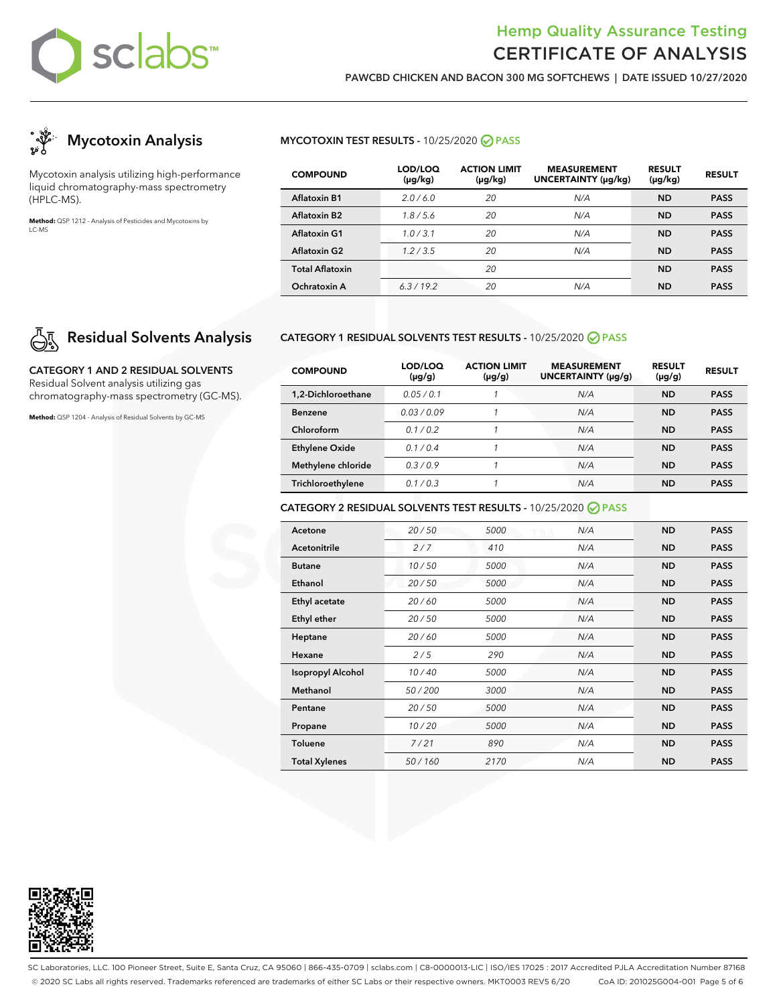

**PAWCBD CHICKEN AND BACON 300 MG SOFTCHEWS | DATE ISSUED 10/27/2020**



Mycotoxin analysis utilizing high-performance liquid chromatography-mass spectrometry (HPLC-MS).

**Method:** QSP 1212 - Analysis of Pesticides and Mycotoxins by LC-MS

# **Residual Solvents Analysis**

**CATEGORY 1 AND 2 RESIDUAL SOLVENTS** Residual Solvent analysis utilizing gas chromatography-mass spectrometry (GC-MS).

**Method:** QSP 1204 - Analysis of Residual Solvents by GC-MS

#### **MYCOTOXIN TEST RESULTS -** 10/25/2020 **PASS**

| <b>COMPOUND</b>          | LOD/LOQ<br>$(\mu g/kg)$ | <b>ACTION LIMIT</b><br>$(\mu g/kg)$ | <b>MEASUREMENT</b><br><b>UNCERTAINTY (µg/kg)</b> | <b>RESULT</b><br>$(\mu g/kg)$ | <b>RESULT</b> |
|--------------------------|-------------------------|-------------------------------------|--------------------------------------------------|-------------------------------|---------------|
| <b>Aflatoxin B1</b>      | 2.0/6.0                 | 20                                  | N/A                                              | <b>ND</b>                     | <b>PASS</b>   |
| Aflatoxin B <sub>2</sub> | 1.8/5.6                 | 20                                  | N/A                                              | <b>ND</b>                     | <b>PASS</b>   |
| <b>Aflatoxin G1</b>      | 1.0/3.1                 | 20                                  | N/A                                              | <b>ND</b>                     | <b>PASS</b>   |
| <b>Aflatoxin G2</b>      | 1.2/3.5                 | 20                                  | N/A                                              | <b>ND</b>                     | <b>PASS</b>   |
| <b>Total Aflatoxin</b>   |                         | 20                                  |                                                  | <b>ND</b>                     | <b>PASS</b>   |
| Ochratoxin A             | 6.3/19.2                | 20                                  | N/A                                              | <b>ND</b>                     | <b>PASS</b>   |

#### **CATEGORY 1 RESIDUAL SOLVENTS TEST RESULTS -** 10/25/2020 **PASS**

| <b>COMPOUND</b>       | LOD/LOQ<br>$(\mu g/g)$ | <b>ACTION LIMIT</b><br>$(\mu g/g)$ | <b>MEASUREMENT</b><br>UNCERTAINTY (µq/q) | <b>RESULT</b><br>$(\mu g/g)$ | <b>RESULT</b> |
|-----------------------|------------------------|------------------------------------|------------------------------------------|------------------------------|---------------|
| 1.2-Dichloroethane    | 0.05/0.1               |                                    | N/A                                      | <b>ND</b>                    | <b>PASS</b>   |
| <b>Benzene</b>        | 0.03/0.09              |                                    | N/A                                      | <b>ND</b>                    | <b>PASS</b>   |
| Chloroform            | 01/02                  |                                    | N/A                                      | <b>ND</b>                    | <b>PASS</b>   |
| <b>Ethylene Oxide</b> | 0.1/0.4                |                                    | N/A                                      | <b>ND</b>                    | <b>PASS</b>   |
| Methylene chloride    | 0.3/0.9                |                                    | N/A                                      | <b>ND</b>                    | <b>PASS</b>   |
| Trichloroethylene     | 0.1/0.3                |                                    | N/A                                      | <b>ND</b>                    | <b>PASS</b>   |

#### **CATEGORY 2 RESIDUAL SOLVENTS TEST RESULTS -** 10/25/2020 **PASS**

| Acetone                  | 20/50  | 5000 | N/A | <b>ND</b> | <b>PASS</b> |
|--------------------------|--------|------|-----|-----------|-------------|
| <b>Acetonitrile</b>      | 2/7    | 410  | N/A | <b>ND</b> | <b>PASS</b> |
| <b>Butane</b>            | 10/50  | 5000 | N/A | <b>ND</b> | <b>PASS</b> |
| Ethanol                  | 20/50  | 5000 | N/A | <b>ND</b> | <b>PASS</b> |
| Ethyl acetate            | 20/60  | 5000 | N/A | <b>ND</b> | <b>PASS</b> |
| Ethyl ether              | 20/50  | 5000 | N/A | <b>ND</b> | <b>PASS</b> |
| Heptane                  | 20/60  | 5000 | N/A | <b>ND</b> | <b>PASS</b> |
| Hexane                   | 2/5    | 290  | N/A | <b>ND</b> | <b>PASS</b> |
| <b>Isopropyl Alcohol</b> | 10/40  | 5000 | N/A | <b>ND</b> | <b>PASS</b> |
| Methanol                 | 50/200 | 3000 | N/A | <b>ND</b> | <b>PASS</b> |
| Pentane                  | 20/50  | 5000 | N/A | <b>ND</b> | <b>PASS</b> |
| Propane                  | 10/20  | 5000 | N/A | <b>ND</b> | <b>PASS</b> |
| <b>Toluene</b>           | 7/21   | 890  | N/A | <b>ND</b> | <b>PASS</b> |
| <b>Total Xylenes</b>     | 50/160 | 2170 | N/A | <b>ND</b> | <b>PASS</b> |



SC Laboratories, LLC. 100 Pioneer Street, Suite E, Santa Cruz, CA 95060 | 866-435-0709 | sclabs.com | C8-0000013-LIC | ISO/IES 17025 : 2017 Accredited PJLA Accreditation Number 87168 © 2020 SC Labs all rights reserved. Trademarks referenced are trademarks of either SC Labs or their respective owners. MKT0003 REV5 6/20 CoA ID: 201025G004-001 Page 5 of 6